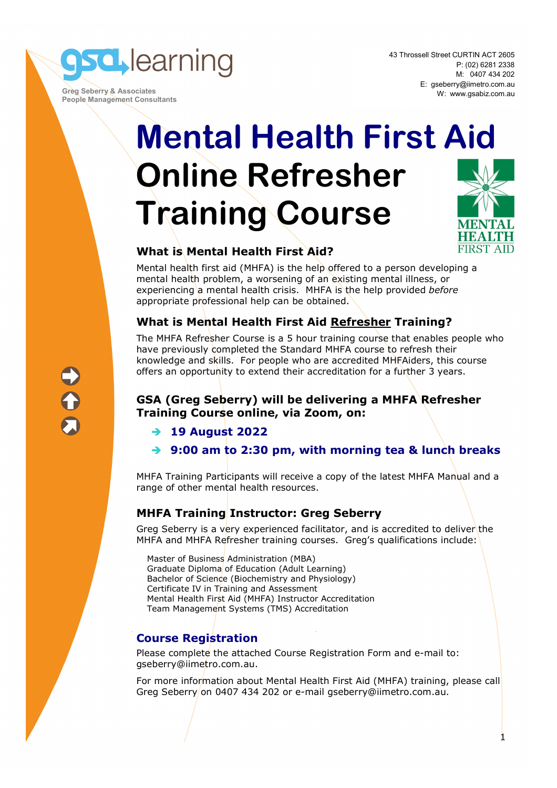**sd** learning

 **Greg Seberry & Associates People Management Consultants**  43 Throssell Street CURTIN ACT 2605 P: (02) 6281 2338 M: 0407 434 202 E: gseberry@iimetro.com.au W: www.gsabiz.com.au

**FIRST AID** 

1

# **Mental Health First Aid Online Refresher Training Course**

## **What is Mental Health First Aid?**

Mental health first aid (MHFA) is the help offered to a person developing a mental health problem, a worsening of an existing mental illness, or experiencing a mental health crisis. MHFA is the help provided *before* appropriate professional help can be obtained.

## **What is Mental Health First Aid Refresher Training?**

The MHFA Refresher Course is a 5 hour training course that enables people who have previously completed the Standard MHFA course to refresh their knowledge and skills. For people who are accredited MHFAiders, this course offers an opportunity to extend their accreditation for a further 3 years.

### **GSA (Greg Seberry) will be delivering a MHFA Refresher Training Course online, via Zoom, on:**

- **19 August 2022**
- **9:00 am to 2:30 pm, with morning tea & lunch breaks**

MHFA Training Participants will receive a copy of the latest MHFA Manual and a range of other mental health resources.

### **MHFA Training Instructor: Greg Seberry**

Greg Seberry is a very experienced facilitator, and is accredited to deliver the MHFA and MHFA Refresher training courses. Greg's qualifications include:

Master of Business Administration (MBA) Graduate Diploma of Education (Adult Learning) Bachelor of Science (Biochemistry and Physiology) Certificate IV in Training and Assessment Mental Health First Aid (MHFA) Instructor Accreditation Team Management Systems (TMS) Accreditation

# **Course Registration**

Please complete the attached Course Registration Form and e-mail to: gseberry@iimetro.com.au.

For more information about Mental Health First Aid (MHFA) training, please call Greg Seberry on 0407 434 202 or e-mail gseberry@iimetro.com.au.